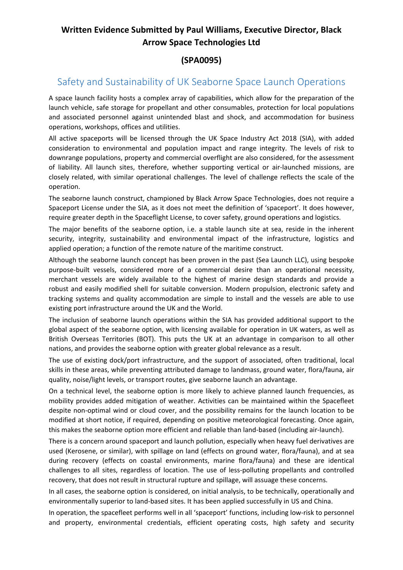## **Written Evidence Submitted by Paul Williams, Executive Director, Black Arrow Space Technologies Ltd**

## **(SPA0095)**

## Safety and Sustainability of UK Seaborne Space Launch Operations

A space launch facility hosts a complex array of capabilities, which allow for the preparation of the launch vehicle, safe storage for propellant and other consumables, protection for local populations and associated personnel against unintended blast and shock, and accommodation for business operations, workshops, offices and utilities.

All active spaceports will be licensed through the UK Space Industry Act 2018 (SIA), with added consideration to environmental and population impact and range integrity. The levels of risk to downrange populations, property and commercial overflight are also considered, for the assessment of liability. All launch sites, therefore, whether supporting vertical or air-launched missions, are closely related, with similar operational challenges. The level of challenge reflects the scale of the operation.

The seaborne launch construct, championed by Black Arrow Space Technologies, does not require a Spaceport License under the SIA, as it does not meet the definition of 'spaceport'. It does however, require greater depth in the Spaceflight License, to cover safety, ground operations and logistics.

The major benefits of the seaborne option, i.e. a stable launch site at sea, reside in the inherent security, integrity, sustainability and environmental impact of the infrastructure, logistics and applied operation; a function of the remote nature of the maritime construct.

Although the seaborne launch concept has been proven in the past (Sea Launch LLC), using bespoke purpose-built vessels, considered more of a commercial desire than an operational necessity, merchant vessels are widely available to the highest of marine design standards and provide a robust and easily modified shell for suitable conversion. Modern propulsion, electronic safety and tracking systems and quality accommodation are simple to install and the vessels are able to use existing port infrastructure around the UK and the World.

The inclusion of seaborne launch operations within the SIA has provided additional support to the global aspect of the seaborne option, with licensing available for operation in UK waters, as well as British Overseas Territories (BOT). This puts the UK at an advantage in comparison to all other nations, and provides the seaborne option with greater global relevance as a result.

The use of existing dock/port infrastructure, and the support of associated, often traditional, local skills in these areas, while preventing attributed damage to landmass, ground water, flora/fauna, air quality, noise/light levels, or transport routes, give seaborne launch an advantage.

On a technical level, the seaborne option is more likely to achieve planned launch frequencies, as mobility provides added mitigation of weather. Activities can be maintained within the Spacefleet despite non-optimal wind or cloud cover, and the possibility remains for the launch location to be modified at short notice, if required, depending on positive meteorological forecasting. Once again, this makes the seaborne option more efficient and reliable than land-based (including air-launch).

There is a concern around spaceport and launch pollution, especially when heavy fuel derivatives are used (Kerosene, or similar), with spillage on land (effects on ground water, flora/fauna), and at sea during recovery (effects on coastal environments, marine flora/fauna) and these are identical challenges to all sites, regardless of location. The use of less-polluting propellants and controlled recovery, that does not result in structural rupture and spillage, will assuage these concerns.

In all cases, the seaborne option is considered, on initial analysis, to be technically, operationally and environmentally superior to land-based sites. It has been applied successfully in US and China.

In operation, the spacefleet performs well in all 'spaceport' functions, including low-risk to personnel and property, environmental credentials, efficient operating costs, high safety and security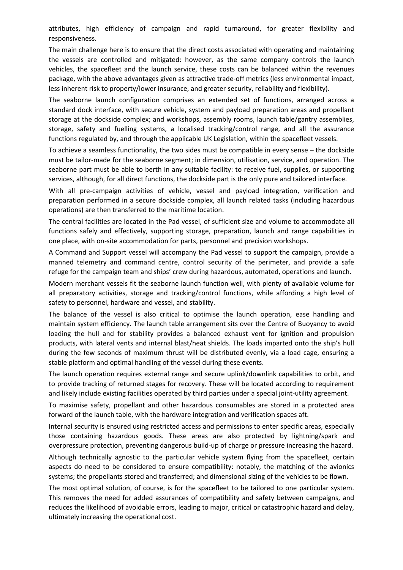attributes, high efficiency of campaign and rapid turnaround, for greater flexibility and responsiveness.

The main challenge here is to ensure that the direct costs associated with operating and maintaining the vessels are controlled and mitigated: however, as the same company controls the launch vehicles, the spacefleet and the launch service, these costs can be balanced within the revenues package, with the above advantages given as attractive trade-off metrics (less environmental impact, less inherent risk to property/lower insurance, and greater security, reliability and flexibility).

The seaborne launch configuration comprises an extended set of functions, arranged across a standard dock interface, with secure vehicle, system and payload preparation areas and propellant storage at the dockside complex; and workshops, assembly rooms, launch table/gantry assemblies, storage, safety and fuelling systems, a localised tracking/control range, and all the assurance functions regulated by, and through the applicable UK Legislation, within the spacefleet vessels.

To achieve a seamless functionality, the two sides must be compatible in every sense – the dockside must be tailor-made for the seaborne segment; in dimension, utilisation, service, and operation. The seaborne part must be able to berth in any suitable facility: to receive fuel, supplies, or supporting services, although, for all direct functions, the dockside part is the only pure and tailored interface.

With all pre-campaign activities of vehicle, vessel and payload integration, verification and preparation performed in a secure dockside complex, all launch related tasks (including hazardous operations) are then transferred to the maritime location.

The central facilities are located in the Pad vessel, of sufficient size and volume to accommodate all functions safely and effectively, supporting storage, preparation, launch and range capabilities in one place, with on-site accommodation for parts, personnel and precision workshops.

A Command and Support vessel will accompany the Pad vessel to support the campaign, provide a manned telemetry and command centre, control security of the perimeter, and provide a safe refuge for the campaign team and ships' crew during hazardous, automated, operations and launch.

Modern merchant vessels fit the seaborne launch function well, with plenty of available volume for all preparatory activities, storage and tracking/control functions, while affording a high level of safety to personnel, hardware and vessel, and stability.

The balance of the vessel is also critical to optimise the launch operation, ease handling and maintain system efficiency. The launch table arrangement sits over the Centre of Buoyancy to avoid loading the hull and for stability provides a balanced exhaust vent for ignition and propulsion products, with lateral vents and internal blast/heat shields. The loads imparted onto the ship's hull during the few seconds of maximum thrust will be distributed evenly, via a load cage, ensuring a stable platform and optimal handling of the vessel during these events.

The launch operation requires external range and secure uplink/downlink capabilities to orbit, and to provide tracking of returned stages for recovery. These will be located according to requirement and likely include existing facilities operated by third parties under a special joint-utility agreement.

To maximise safety, propellant and other hazardous consumables are stored in a protected area forward of the launch table, with the hardware integration and verification spaces aft.

Internal security is ensured using restricted access and permissions to enter specific areas, especially those containing hazardous goods. These areas are also protected by lightning/spark and overpressure protection, preventing dangerous build-up of charge or pressure increasing the hazard.

Although technically agnostic to the particular vehicle system flying from the spacefleet, certain aspects do need to be considered to ensure compatibility: notably, the matching of the avionics systems; the propellants stored and transferred; and dimensional sizing of the vehicles to be flown.

The most optimal solution, of course, is for the spacefleet to be tailored to one particular system. This removes the need for added assurances of compatibility and safety between campaigns, and reduces the likelihood of avoidable errors, leading to major, critical or catastrophic hazard and delay, ultimately increasing the operational cost.